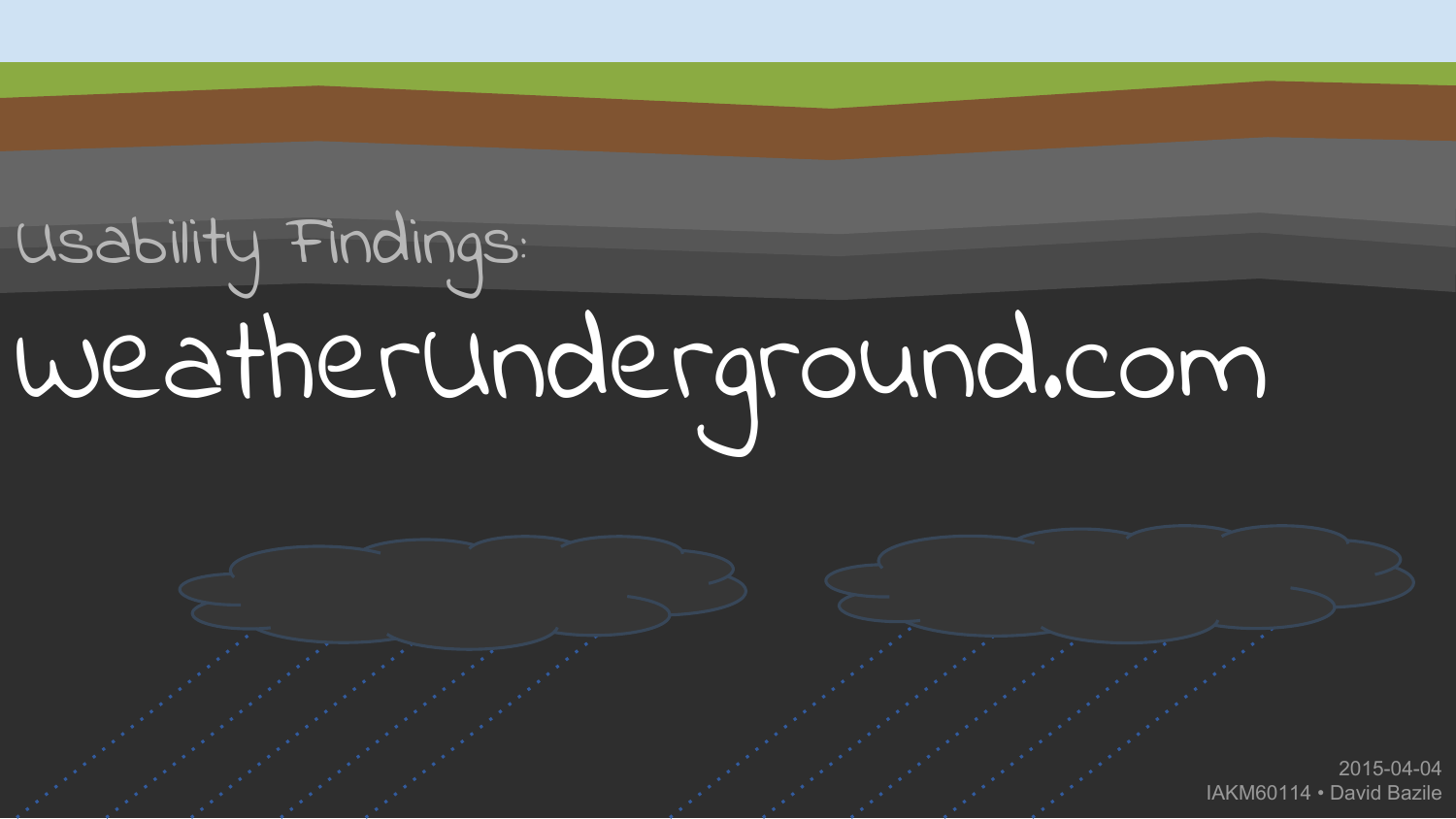# Usability Findings: WeatherUnderground.com

2015-04-04 IAKM60114 • David Bazile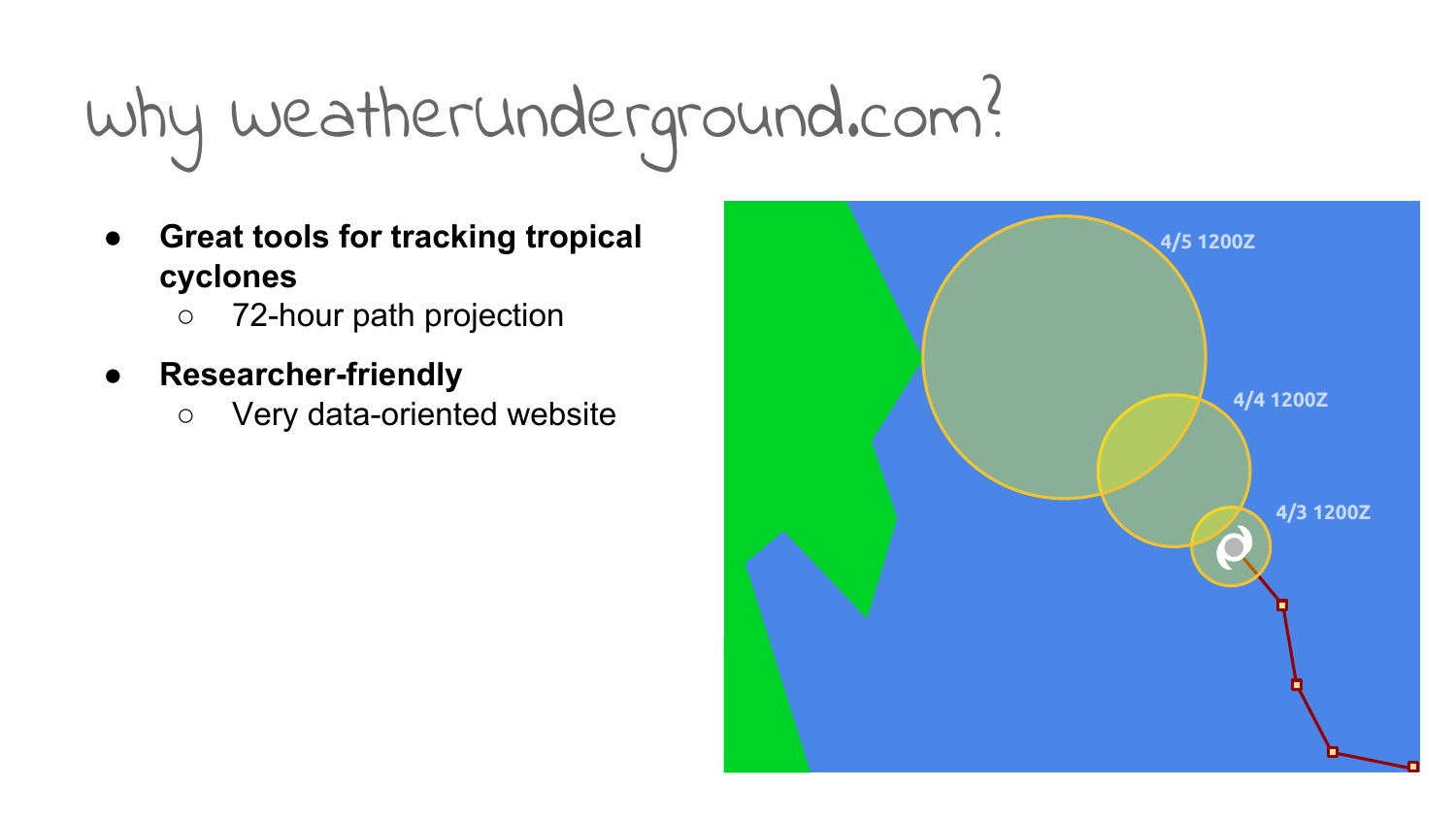# Why WeatherUnderground.com?

- **● Great tools for tracking tropical cyclones**
	- 72-hour path projection
- **● Researcher-friendly**
	- Very data-oriented website

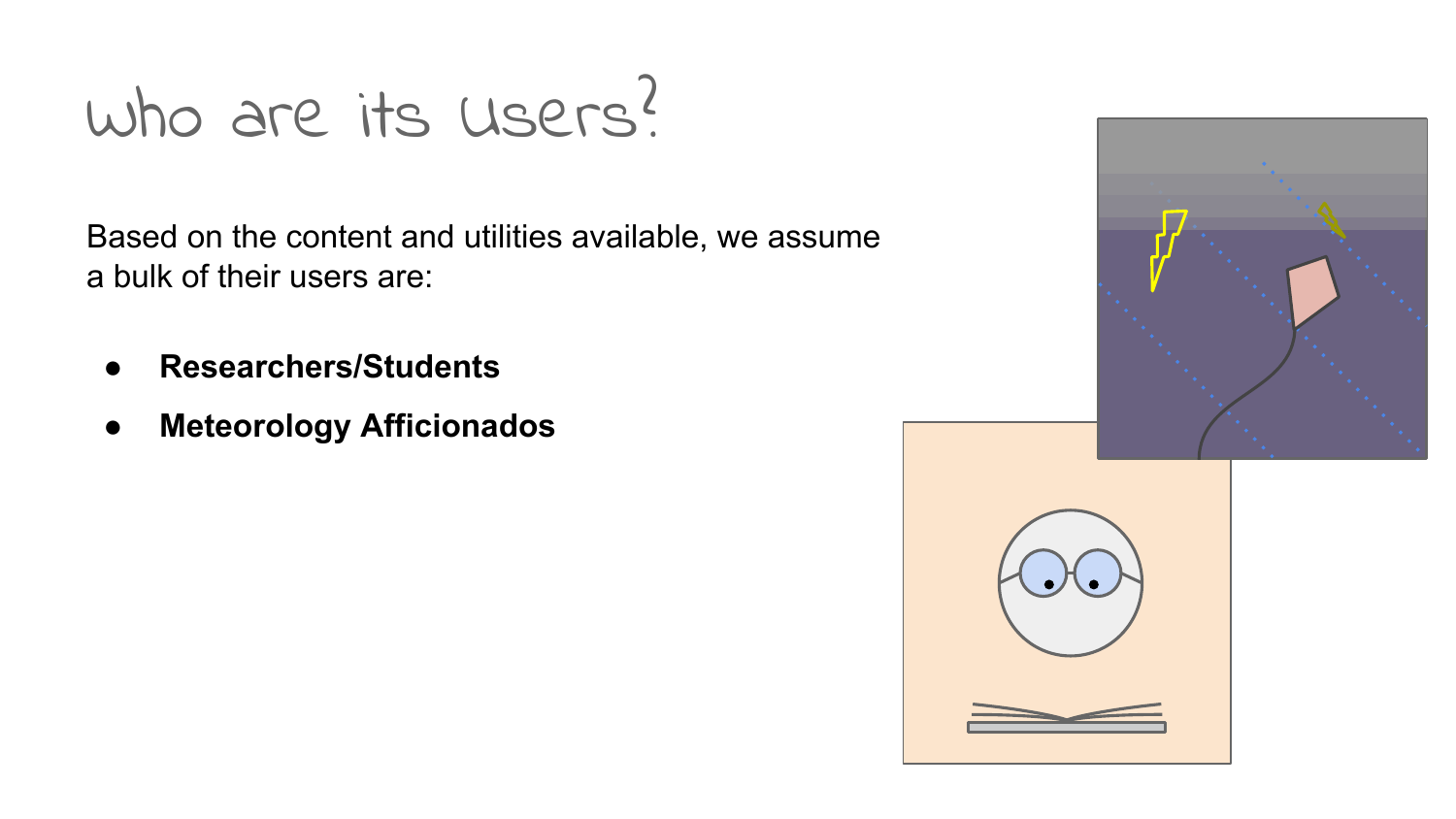### Who are its Users?

Based on the content and utilities available, we assume a bulk of their users are:

- **● Researchers/Students**
- **● Meteorology Afficionados**

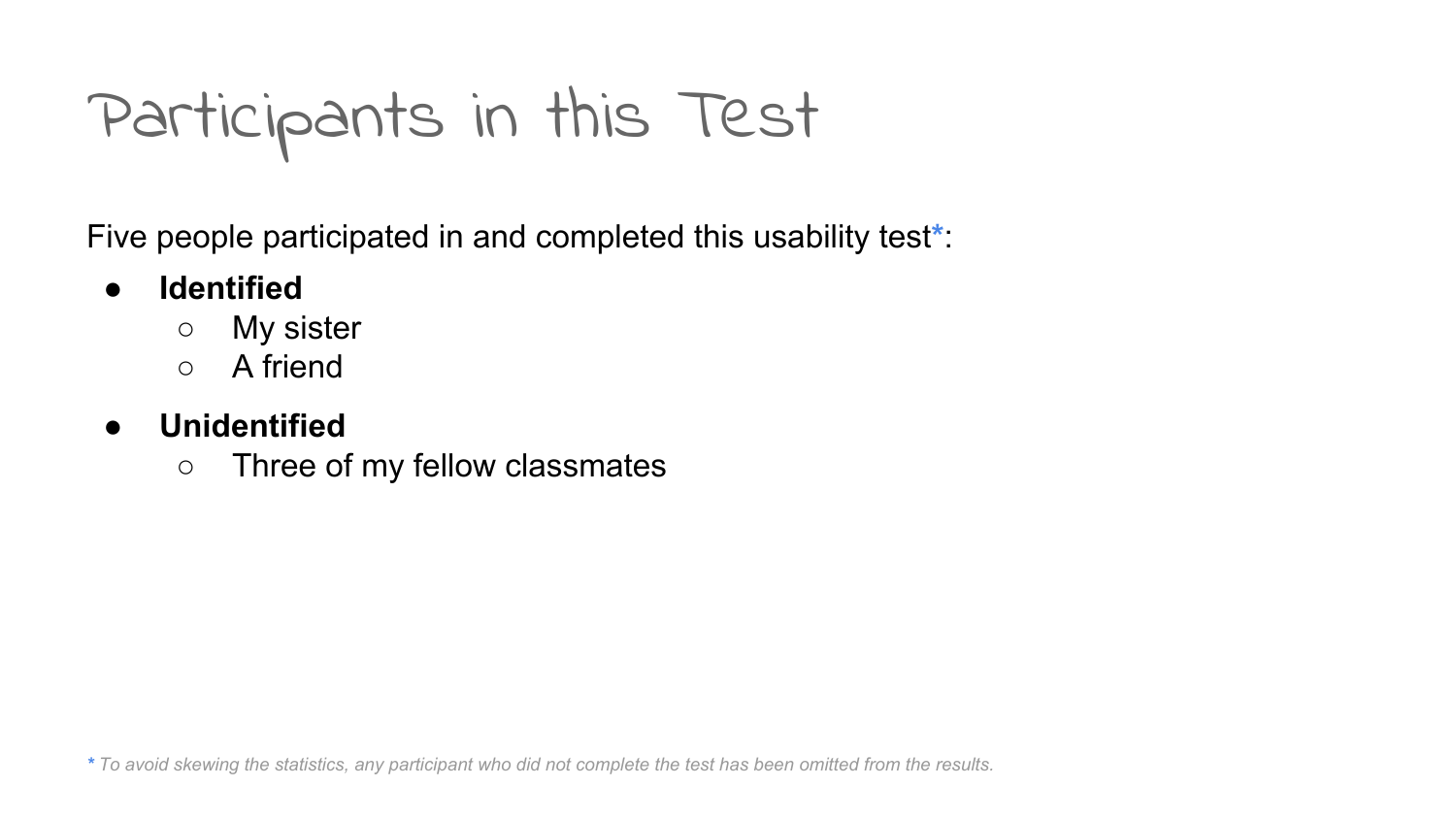Participants in this Test

Five people participated in and completed this usability test**\***:

#### **● Identified**

- My sister
- A friend

#### **● Unidentified**

○ Three of my fellow classmates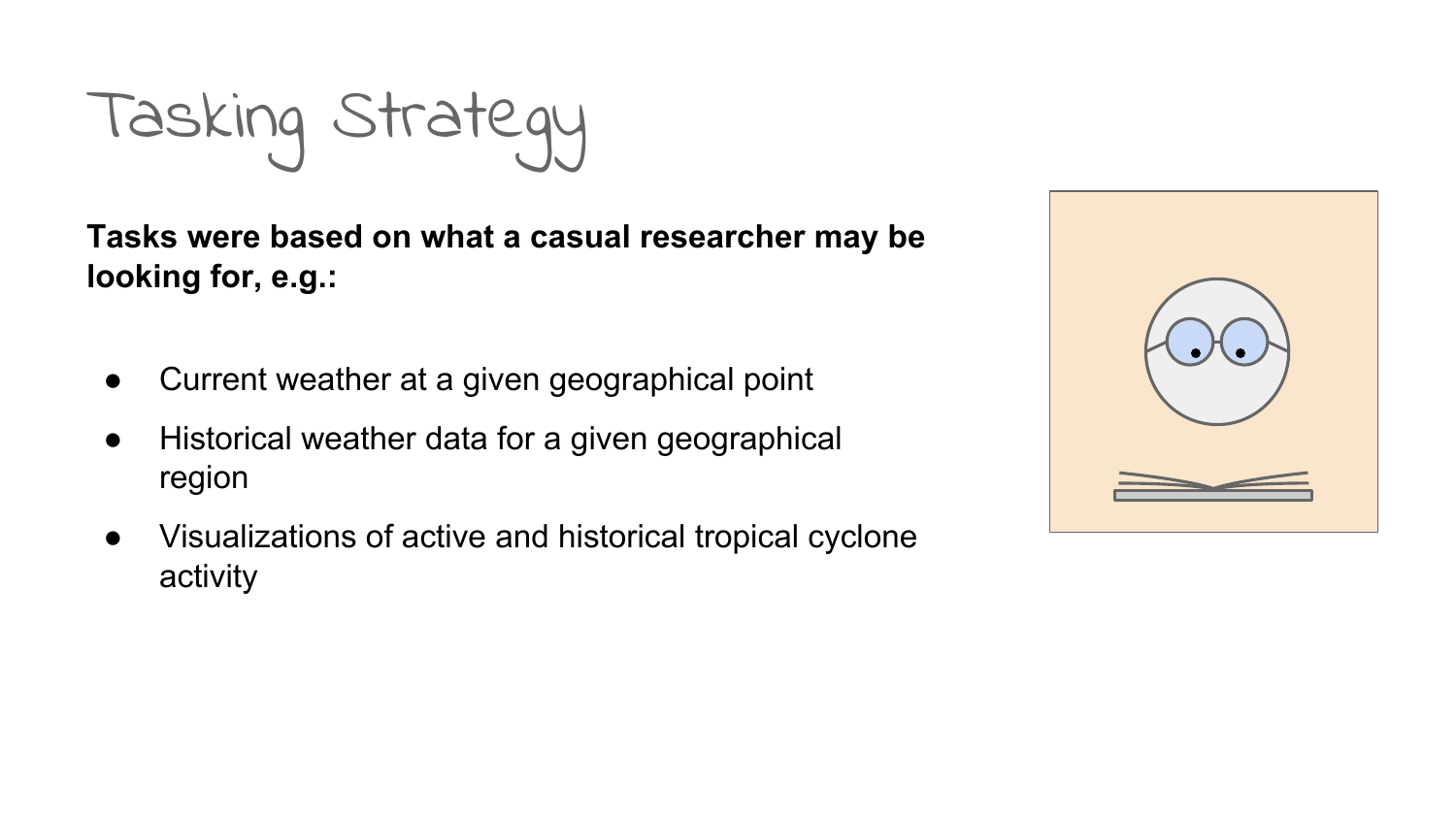Tasking Strategy

**Tasks were based on what a casual researcher may be looking for, e.g.:**

- Current weather at a given geographical point
- Historical weather data for a given geographical region
- Visualizations of active and historical tropical cyclone activity

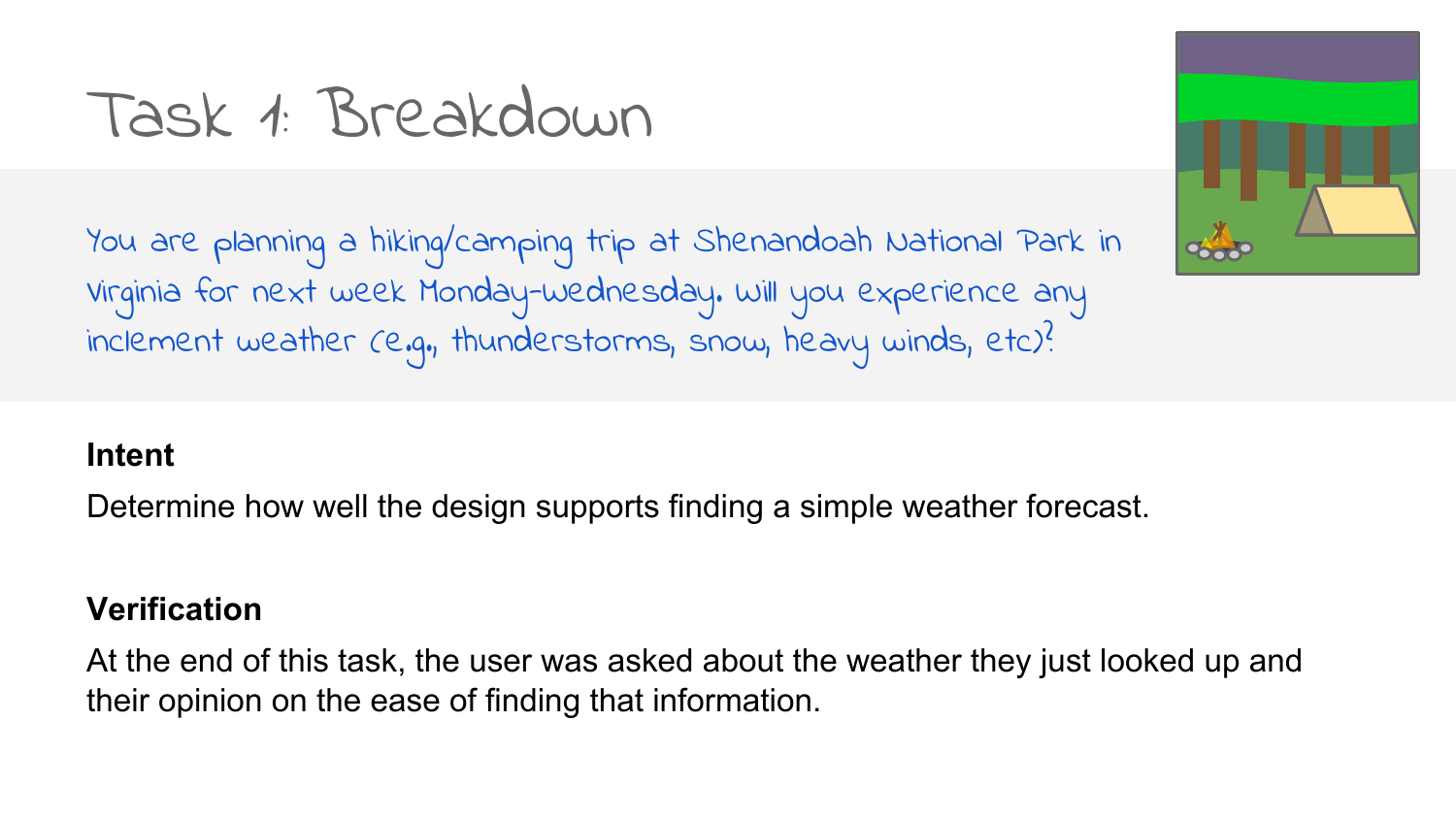### Task 1: Breakdown

You are planning a hiking/camping trip at Shenandoah National Park in Virginia for next week Monday-Wednesday. Will you experience any inclement weather (e.g., thunderstorms, snow, heavy winds, etc)?

#### **Intent**

Determine how well the design supports finding a simple weather forecast.

#### **Verification**

At the end of this task, the user was asked about the weather they just looked up and their opinion on the ease of finding that information.

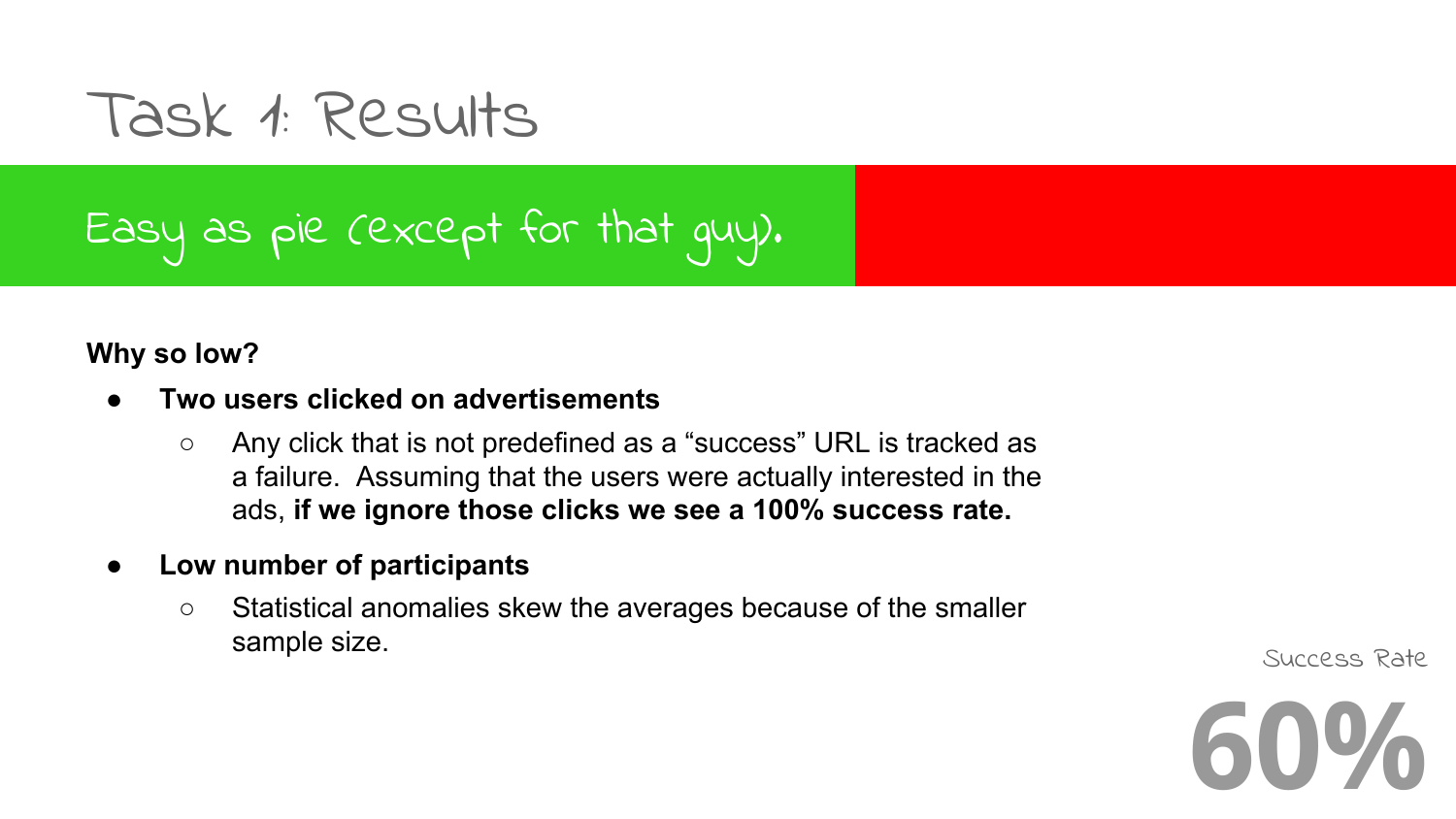Task 1: Results

### Easy as pie (except for that guy).

#### **Why so low?**

#### **● Two users clicked on advertisements**

- Any click that is not predefined as a "success" URL is tracked as a failure. Assuming that the users were actually interested in the ads, **if we ignore those clicks we see a 100% success rate.**
- **● Low number of participants**
	- Statistical anomalies skew the averages because of the smaller Sample size. The size of the state of the state of the state state state state state state state state state state

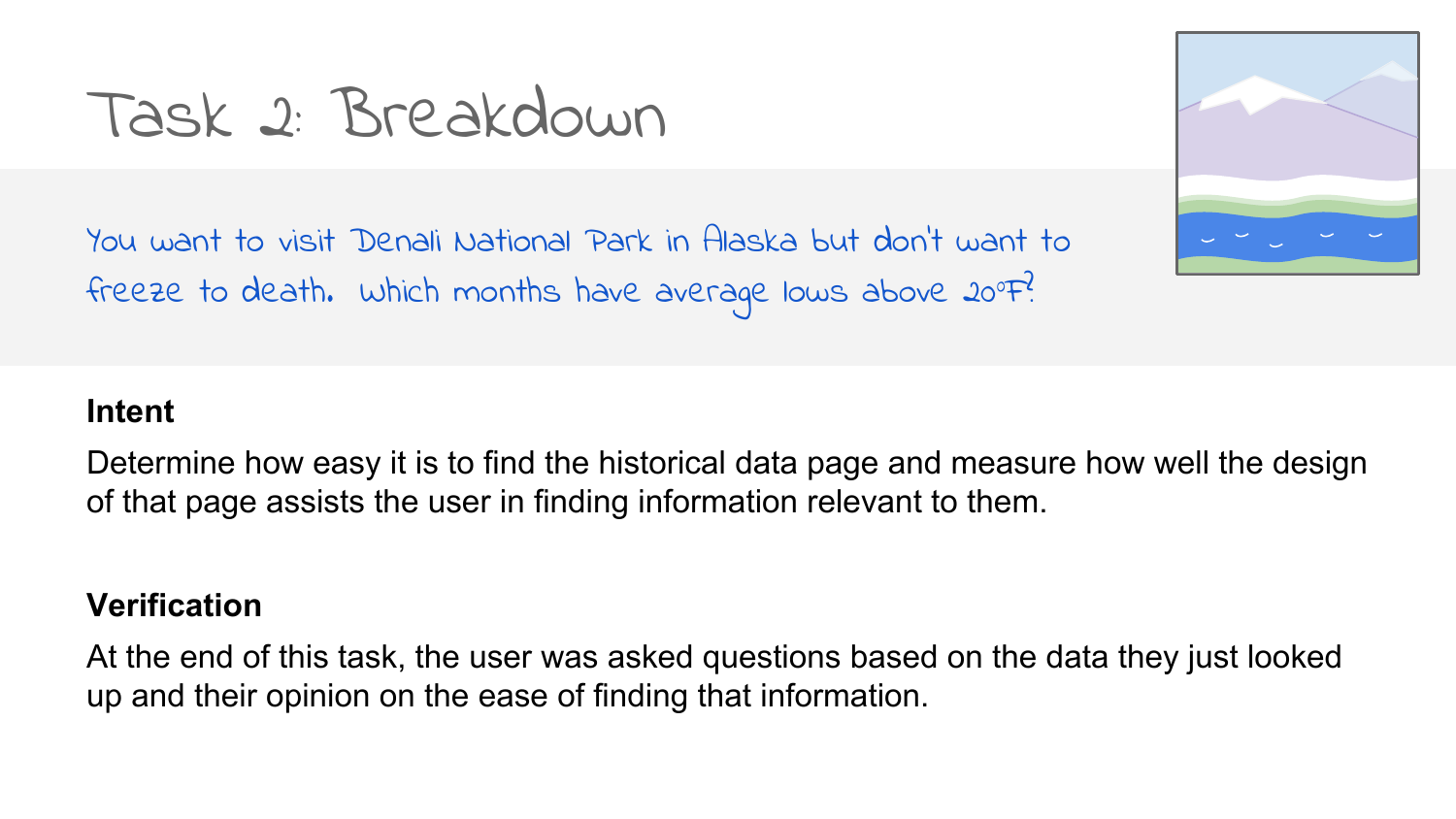### Task 2: Breakdown

You want to visit Denali National Park in Alaska but don't want to freeze to death. Which months have average lows above 20°F?

#### **Intent**

Determine how easy it is to find the historical data page and measure how well the design of that page assists the user in finding information relevant to them.

#### **Verification**

At the end of this task, the user was asked questions based on the data they just looked up and their opinion on the ease of finding that information.

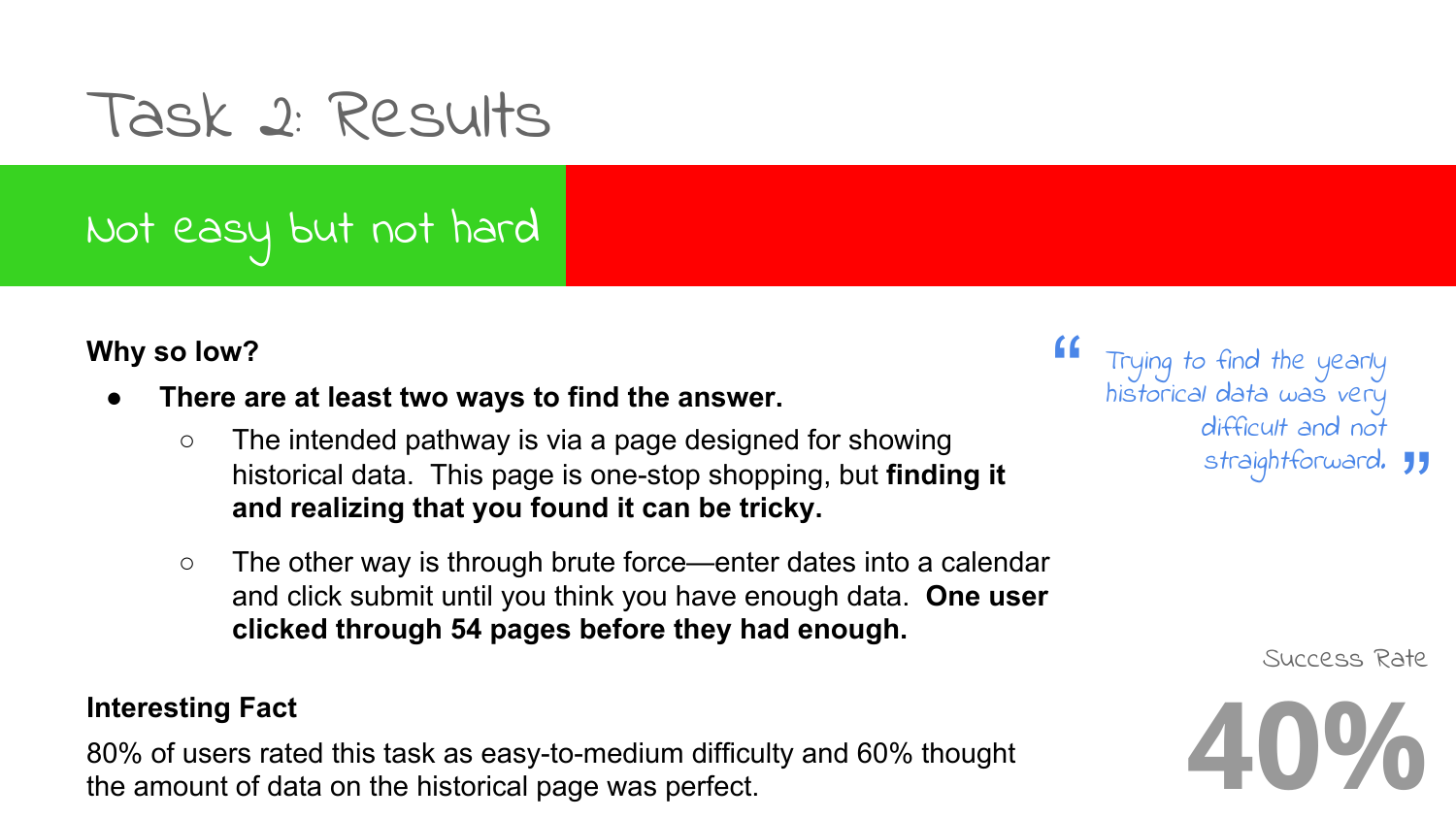### Task 2: Results

### Not easy but not hard

#### **Why so low?**

- **● There are at least two ways to find the answer.**
	- **○** The intended pathway is via a page designed for showing historical data. This page is one-stop shopping, but **finding it and realizing that you found it can be tricky.**
	- **○** The other way is through brute force—enter dates into a calendar and click submit until you think you have enough data. **One user clicked through 54 pages before they had enough.**

#### **Interesting Fact**

80% of users rated this task as easy-to-medium difficulty and 60% thought the amount of data on the historical page was perfect.

 $\begin{array}{cc} 66 & 7 \\ 6 & 6 \end{array}$ s*traightforward.* 99 Trying to find the yearly historical data was very difficult and not

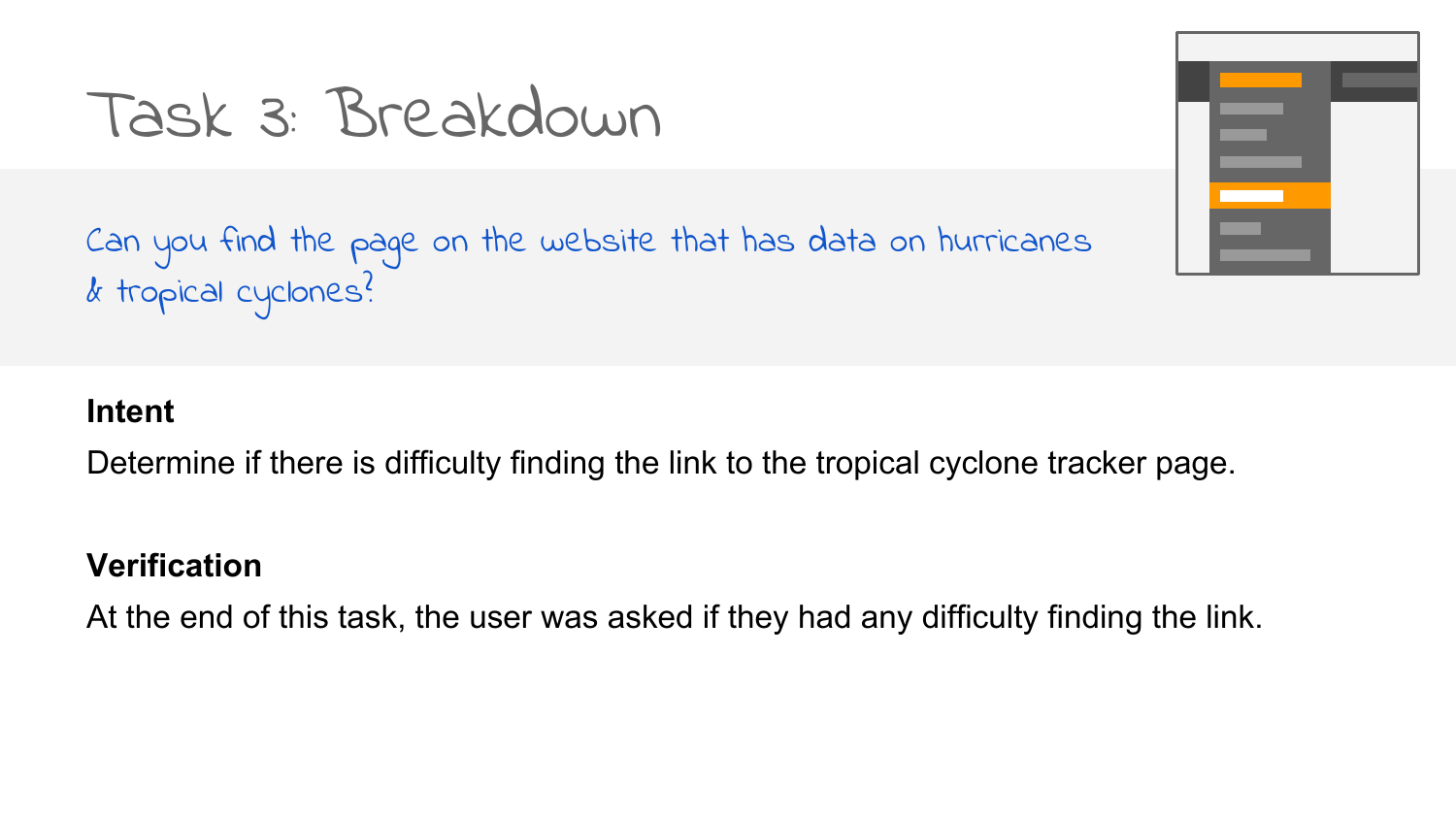### Task 3: Breakdown

Can you find the page on the website that has data on hurricanes  $\alpha$  tropical cyclones?



#### **Intent**

Determine if there is difficulty finding the link to the tropical cyclone tracker page.

#### **Verification**

At the end of this task, the user was asked if they had any difficulty finding the link.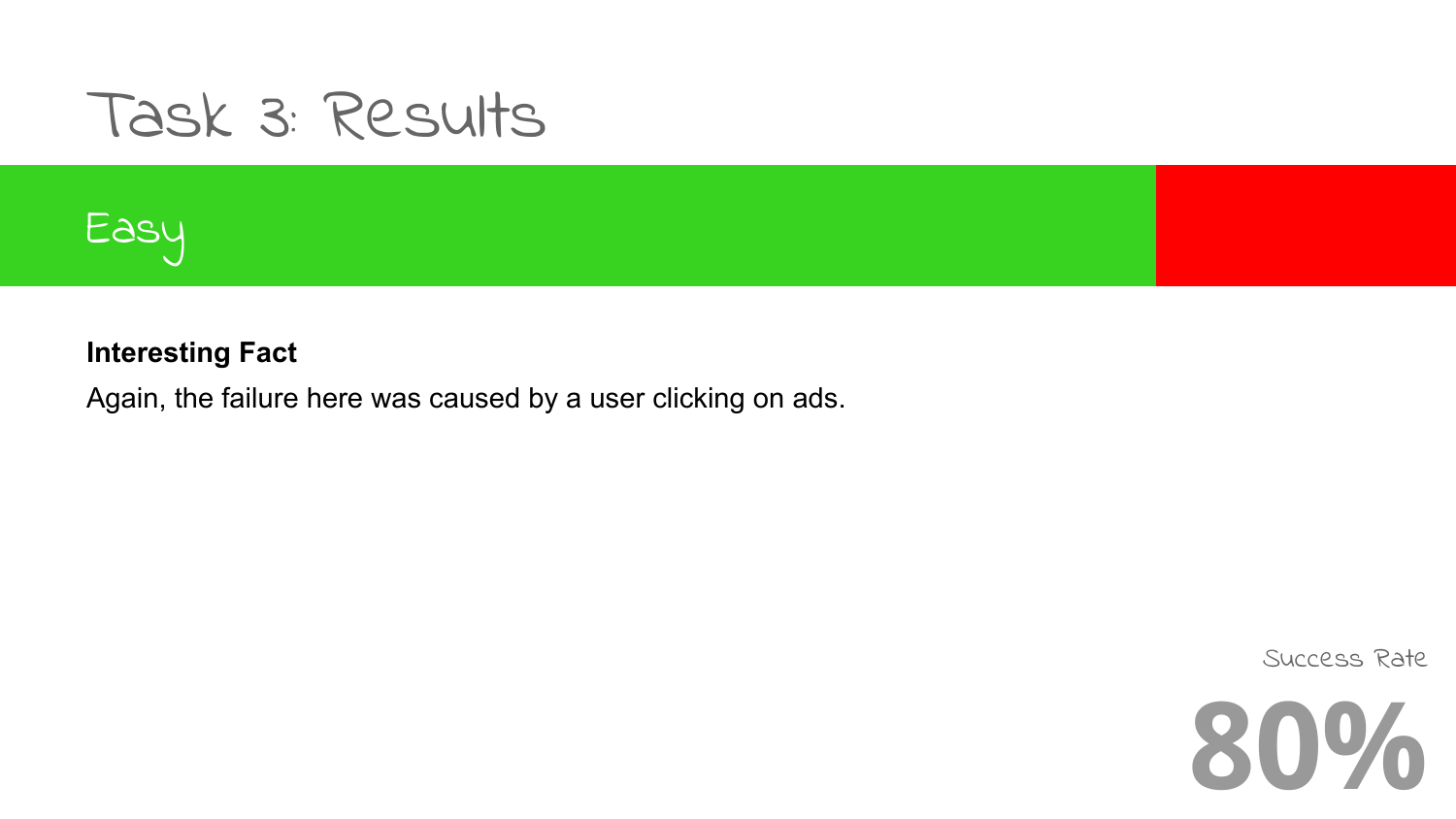### Task 3: Results



#### **Interesting Fact**

Again, the failure here was caused by a user clicking on ads.

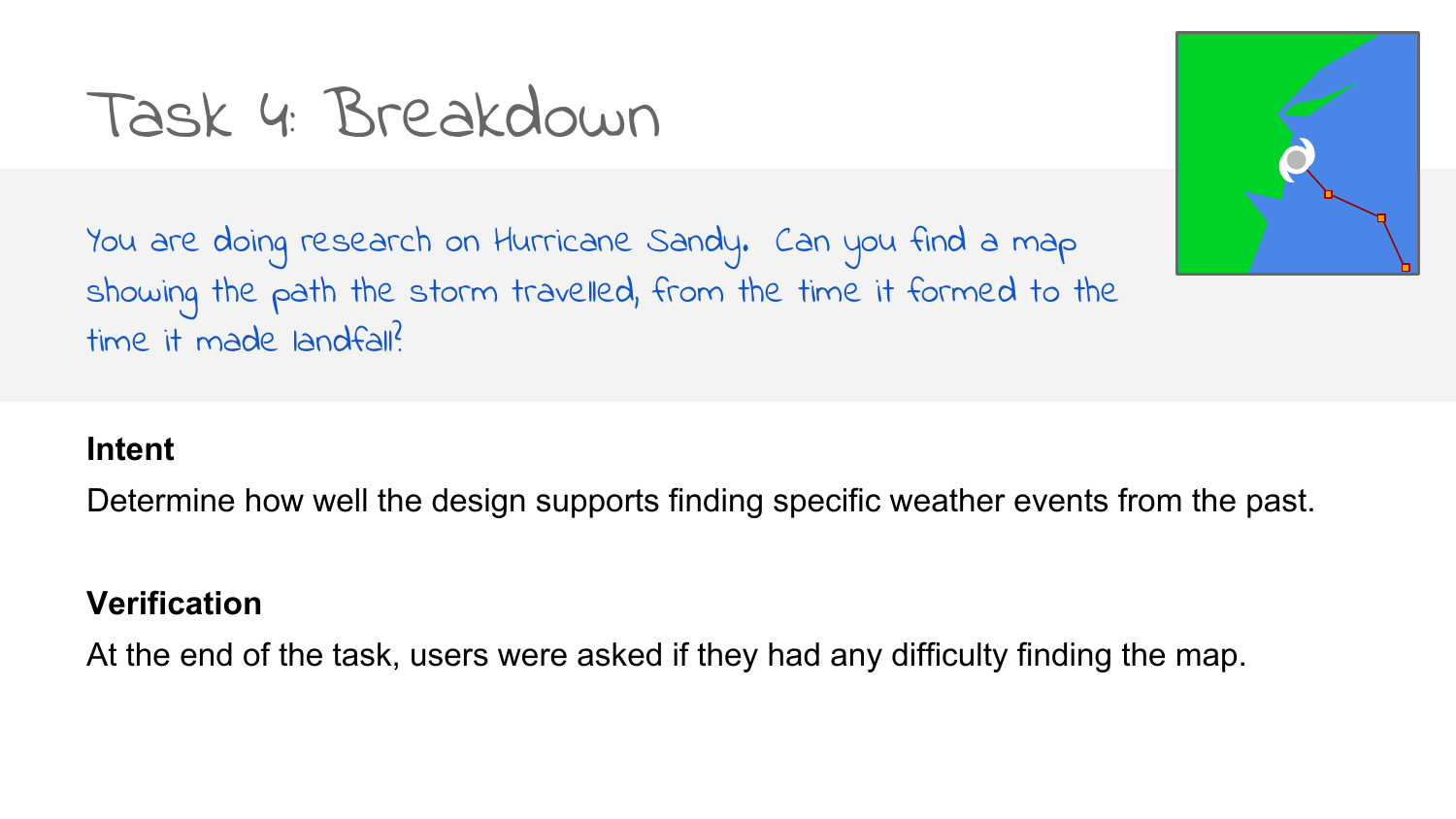### Task 4: Breakdown

You are doing research on Hurricane Sandy. Can you find a map showing the path the storm travelled, from the time it formed to the time it made landfall?

#### **Intent**

Determine how well the design supports finding specific weather events from the past.

#### **Verification**

At the end of the task, users were asked if they had any difficulty finding the map.

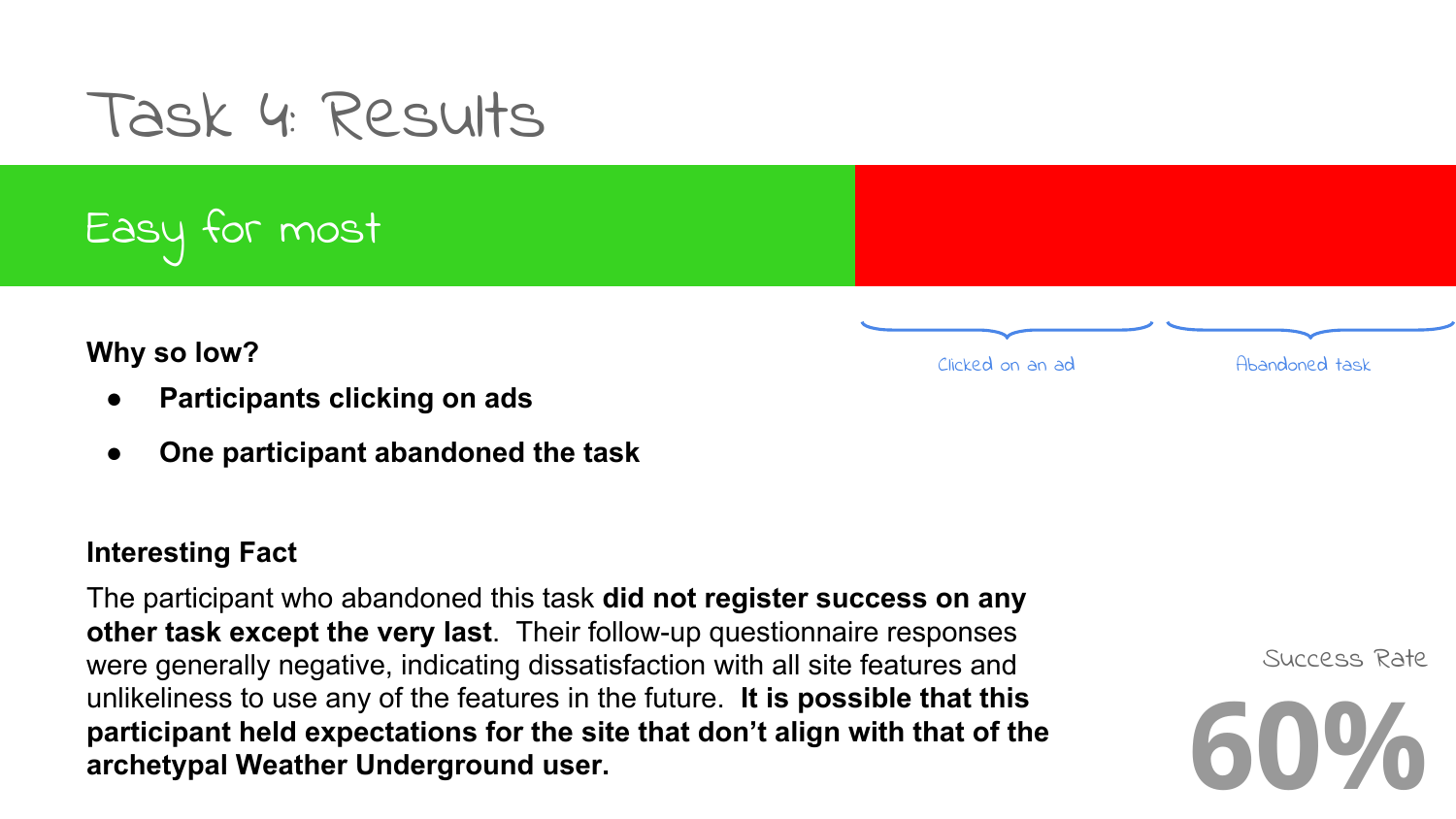### Task 4: Results

Easy for most

**Why so low?**

- **● Participants clicking on ads**
- **● One participant abandoned the task**

#### **Interesting Fact**

The participant who abandoned this task **did not register success on any other task except the very last**. Their follow-up questionnaire responses were generally negative, indicating dissatisfaction with all site features and unlikeliness to use any of the features in the future. **It is possible that this participant held expectations for the site that don't align with that of the archetypal Weather Underground user.**



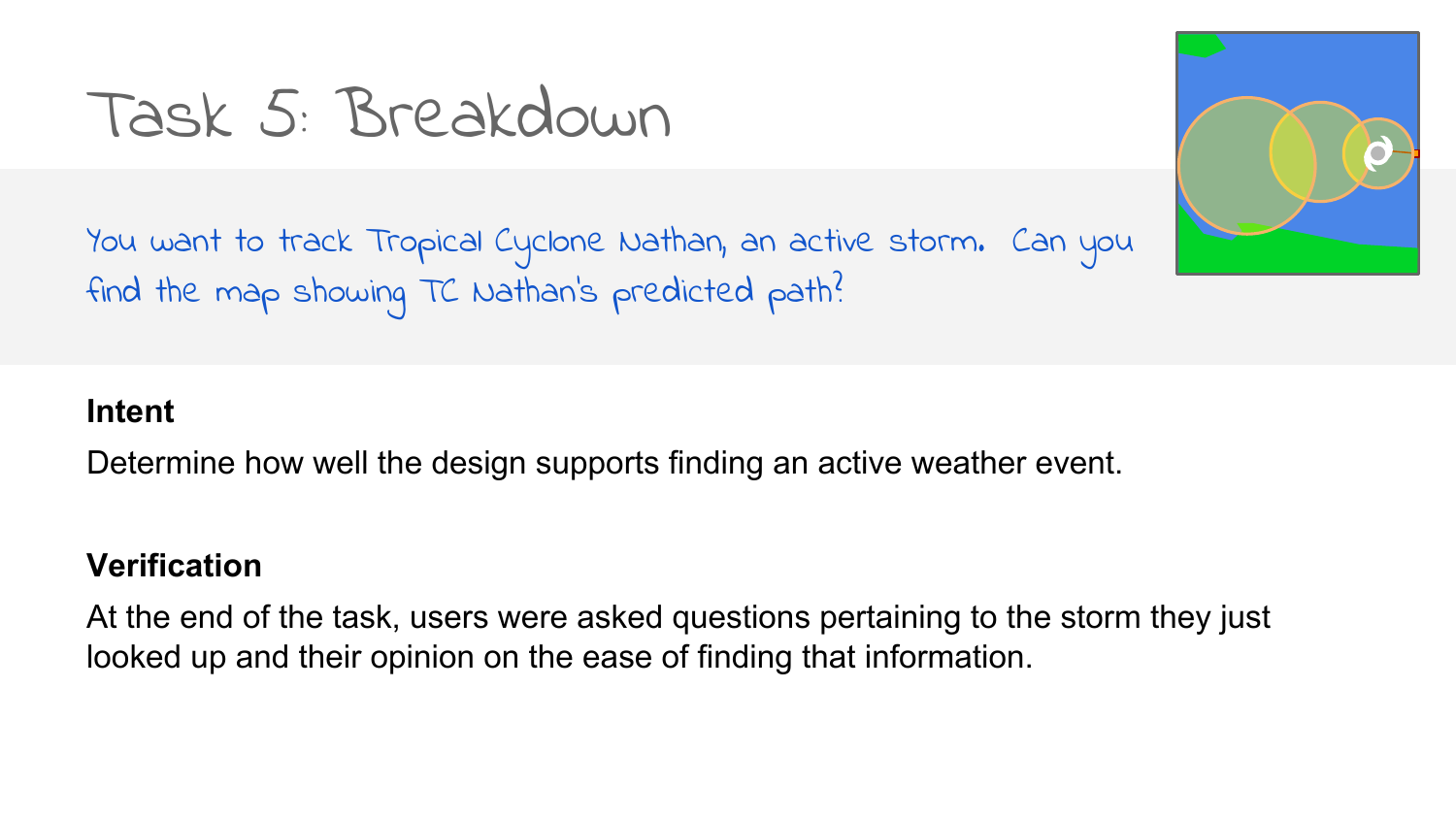### Task 5: Breakdown

You want to track Tropical Cyclone Nathan, an active storm. Can you find the map showing TC Nathan's predicted path?



#### **Intent**

Determine how well the design supports finding an active weather event.

#### **Verification**

At the end of the task, users were asked questions pertaining to the storm they just looked up and their opinion on the ease of finding that information.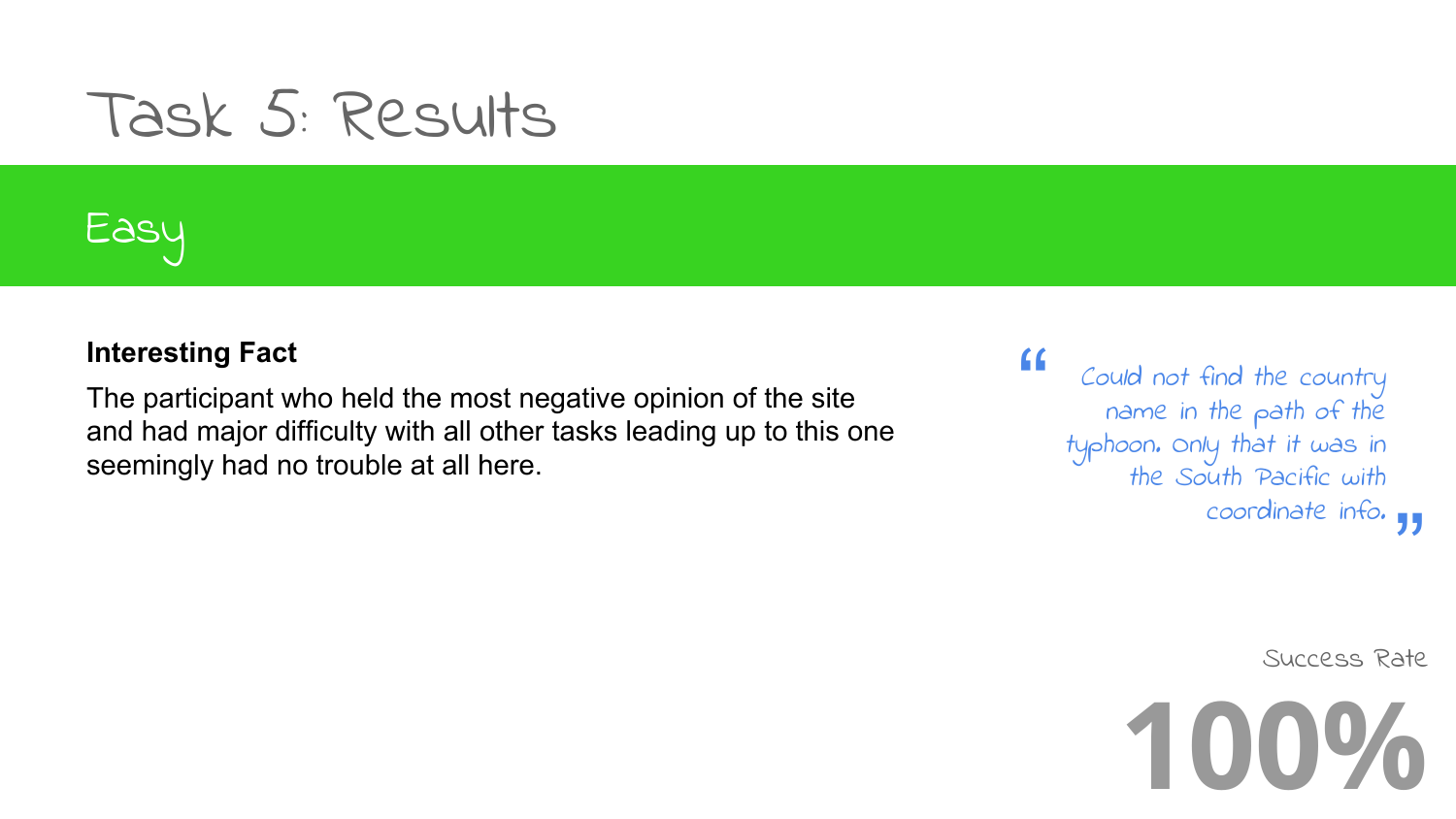### Task 5: Results

### Easy

#### **Interesting Fact**

The participant who held the most negative opinion of the site and had major difficulty with all other tasks leading up to this one seemingly had no trouble at all here.

coordinate info. 11 Could not find the country name in the path of the typhoon. Only that it was in the South Pacific with

"

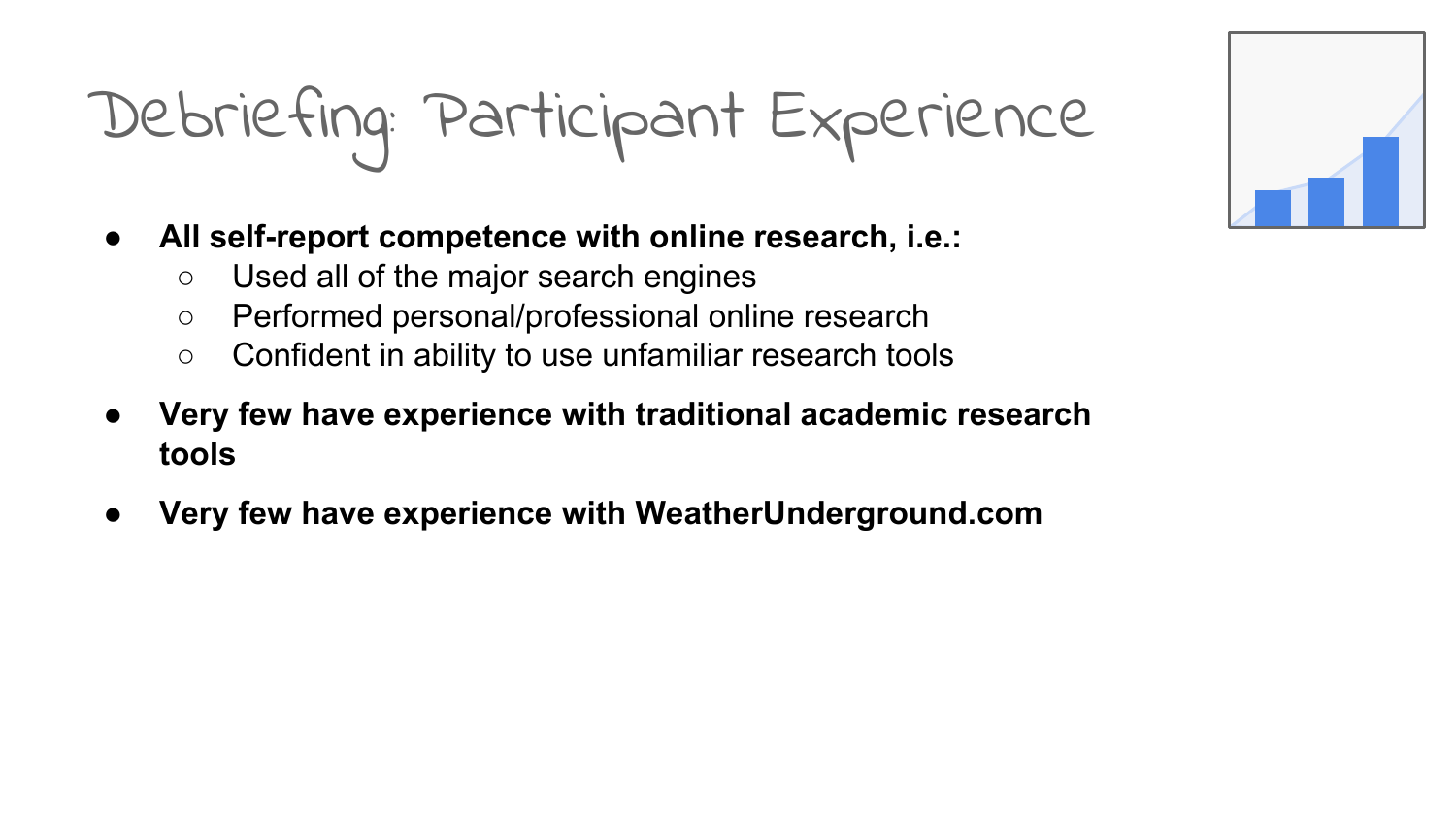## Debriefing: Participant Experience

- **● All self-report competence with online research, i.e.:**
	- Used all of the major search engines
	- Performed personal/professional online research
	- Confident in ability to use unfamiliar research tools
- **● Very few have experience with traditional academic research tools**
- **● Very few have experience with WeatherUnderground.com**

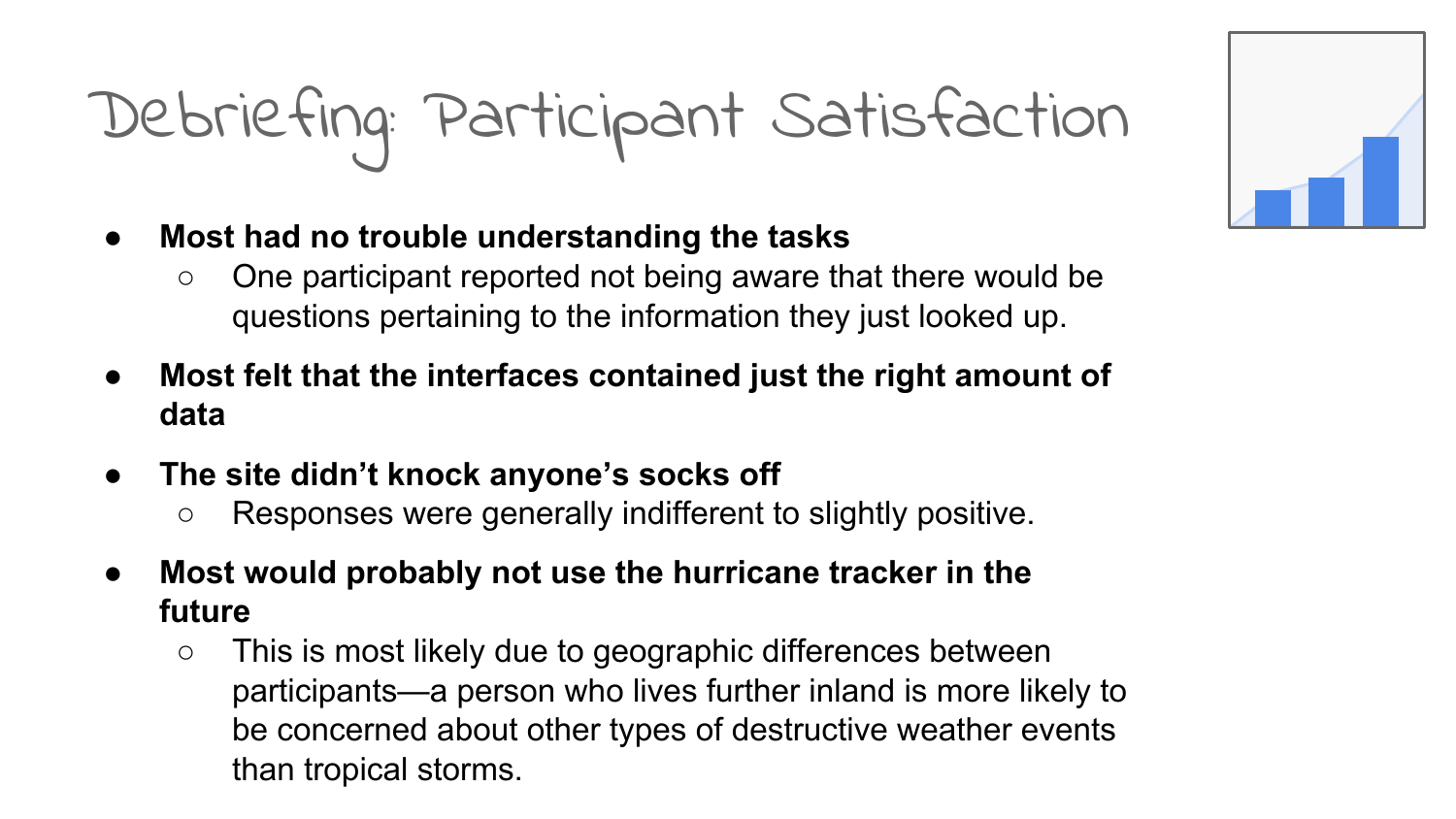## Debriefing: Participant Satisfaction

- **● Most had no trouble understanding the tasks**
	- One participant reported not being aware that there would be questions pertaining to the information they just looked up.
- **● Most felt that the interfaces contained just the right amount of data**
- **● The site didn't knock anyone's socks off**
	- Responses were generally indifferent to slightly positive.
- **● Most would probably not use the hurricane tracker in the future**
	- This is most likely due to geographic differences between participants—a person who lives further inland is more likely to be concerned about other types of destructive weather events than tropical storms.